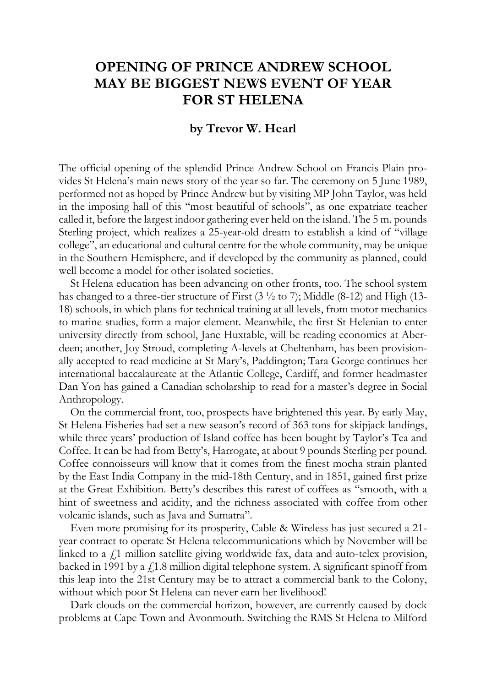## **OPENING OF PRINCE ANDREW SCHOOL MAY BE BIGGEST NEWS EVENT OF YEAR FOR ST HELENA**

## **by Trevor W. Hearl**

The official opening of the splendid Prince Andrew School on Francis Plain provides St Helena's main news story of the year so far. The ceremony on 5 June 1989, performed not as hoped by Prince Andrew but by visiting MP John Taylor, was held in the imposing hall of this "most beautiful of schools", as one expatriate teacher called it, before the largest indoor gathering ever held on the island. The 5 m. pounds Sterling project, which realizes a 25-year-old dream to establish a kind of "village college", an educational and cultural centre for the whole community, may be unique in the Southern Hemisphere, and if developed by the community as planned, could well become a model for other isolated societies.

St Helena education has been advancing on other fronts, too. The school system has changed to a three-tier structure of First (3  $\frac{1}{2}$  to 7); Middle (8-12) and High (13-18) schools, in which plans for technical training at all levels, from motor mechanics to marine studies, form a major element. Meanwhile, the first St Helenian to enter university directly from school, Jane Huxtable, will be reading economics at Aberdeen; another, Joy Stroud, completing A-levels at Cheltenham, has been provisionally accepted to read medicine at St Mary's, Paddington; Tara George continues her international baccalaureate at the Atlantic College, Cardiff, and former headmaster Dan Yon has gained a Canadian scholarship to read for a master's degree in Social Anthropology.

On the commercial front, too, prospects have brightened this year. By early May, St Helena Fisheries had set a new season's record of 363 tons for skipjack landings, while three years' production of Island coffee has been bought by Taylor's Tea and Coffee. It can be had from Betty's, Harrogate, at about 9 pounds Sterling per pound. Coffee connoisseurs will know that it comes from the finest mocha strain planted by the East India Company in the mid-18th Century, and in 1851, gained first prize at the Great Exhibition. Betty's describes this rarest of coffees as "smooth, with a hint of sweetness and acidity, and the richness associated with coffee from other volcanic islands, such as Java and Sumatra".

Even more promising for its prosperity, Cable & Wireless has just secured a 21 year contract to operate St Helena telecommunications which by November will be linked to a  $\ell$ ,1 million satellite giving worldwide fax, data and auto-telex provision, backed in 1991 by a  $f(1.8)$  million digital telephone system. A significant spinoff from this leap into the 21st Century may be to attract a commercial bank to the Colony, without which poor St Helena can never earn her livelihood!

Dark clouds on the commercial horizon, however, are currently caused by dock problems at Cape Town and Avonmouth. Switching the RMS St Helena to Milford